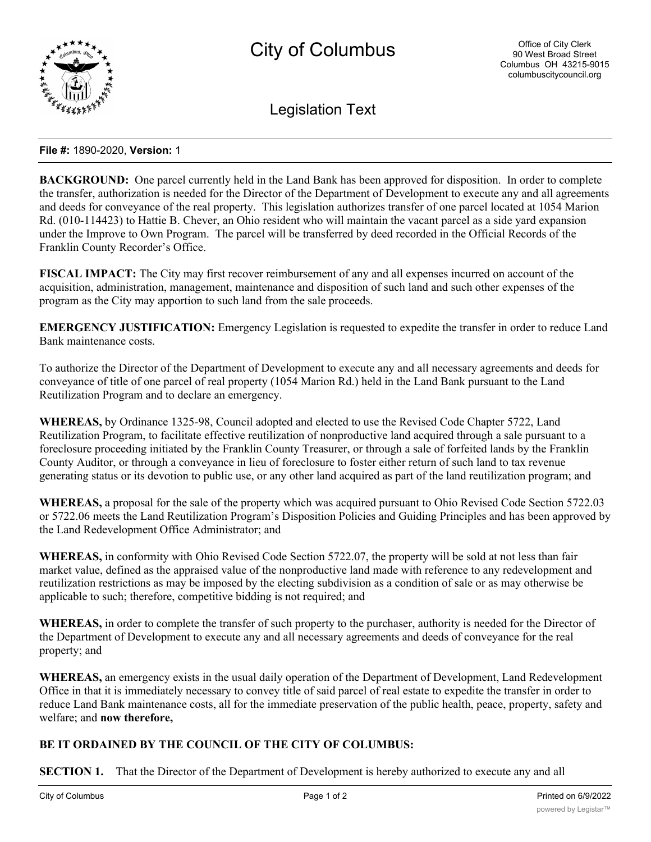

Legislation Text

## **File #:** 1890-2020, **Version:** 1

**BACKGROUND:** One parcel currently held in the Land Bank has been approved for disposition. In order to complete the transfer, authorization is needed for the Director of the Department of Development to execute any and all agreements and deeds for conveyance of the real property. This legislation authorizes transfer of one parcel located at 1054 Marion Rd. (010-114423) to Hattie B. Chever, an Ohio resident who will maintain the vacant parcel as a side yard expansion under the Improve to Own Program. The parcel will be transferred by deed recorded in the Official Records of the Franklin County Recorder's Office.

**FISCAL IMPACT:** The City may first recover reimbursement of any and all expenses incurred on account of the acquisition, administration, management, maintenance and disposition of such land and such other expenses of the program as the City may apportion to such land from the sale proceeds.

**EMERGENCY JUSTIFICATION:** Emergency Legislation is requested to expedite the transfer in order to reduce Land Bank maintenance costs.

To authorize the Director of the Department of Development to execute any and all necessary agreements and deeds for conveyance of title of one parcel of real property (1054 Marion Rd.) held in the Land Bank pursuant to the Land Reutilization Program and to declare an emergency.

**WHEREAS,** by Ordinance 1325-98, Council adopted and elected to use the Revised Code Chapter 5722, Land Reutilization Program, to facilitate effective reutilization of nonproductive land acquired through a sale pursuant to a foreclosure proceeding initiated by the Franklin County Treasurer, or through a sale of forfeited lands by the Franklin County Auditor, or through a conveyance in lieu of foreclosure to foster either return of such land to tax revenue generating status or its devotion to public use, or any other land acquired as part of the land reutilization program; and

**WHEREAS,** a proposal for the sale of the property which was acquired pursuant to Ohio Revised Code Section 5722.03 or 5722.06 meets the Land Reutilization Program's Disposition Policies and Guiding Principles and has been approved by the Land Redevelopment Office Administrator; and

**WHEREAS,** in conformity with Ohio Revised Code Section 5722.07, the property will be sold at not less than fair market value, defined as the appraised value of the nonproductive land made with reference to any redevelopment and reutilization restrictions as may be imposed by the electing subdivision as a condition of sale or as may otherwise be applicable to such; therefore, competitive bidding is not required; and

**WHEREAS,** in order to complete the transfer of such property to the purchaser, authority is needed for the Director of the Department of Development to execute any and all necessary agreements and deeds of conveyance for the real property; and

**WHEREAS,** an emergency exists in the usual daily operation of the Department of Development, Land Redevelopment Office in that it is immediately necessary to convey title of said parcel of real estate to expedite the transfer in order to reduce Land Bank maintenance costs, all for the immediate preservation of the public health, peace, property, safety and welfare; and **now therefore,**

## **BE IT ORDAINED BY THE COUNCIL OF THE CITY OF COLUMBUS:**

**SECTION 1.** That the Director of the Department of Development is hereby authorized to execute any and all